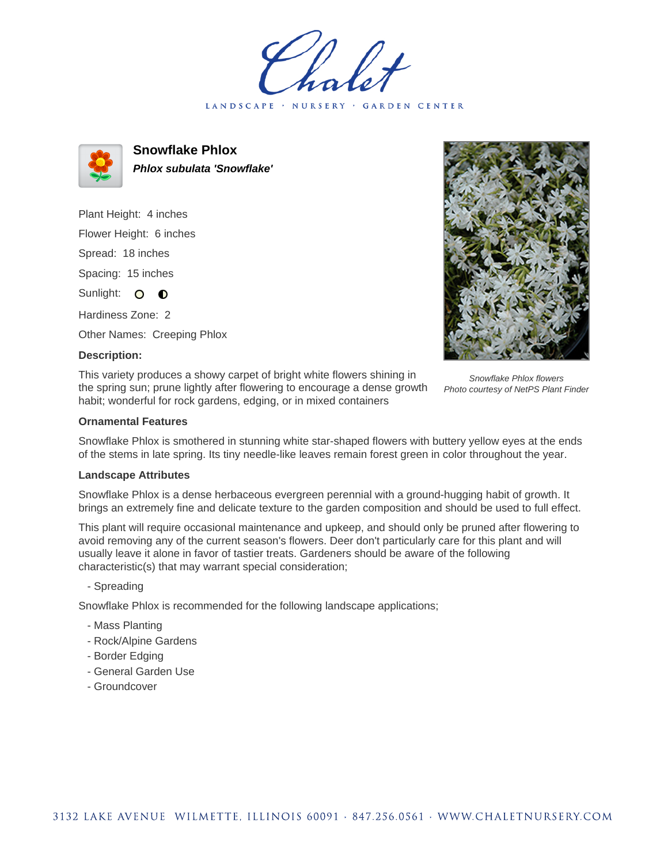LANDSCAPE · NURSERY · GARDEN CENTER



**Snowflake Phlox Phlox subulata 'Snowflake'**

Plant Height: 4 inches Flower Height: 6 inches Spread: 18 inches Spacing: 15 inches Sunlight: O **O** Hardiness Zone: 2

Other Names: Creeping Phlox

## **Description:**

This variety produces a showy carpet of bright white flowers shining in the spring sun; prune lightly after flowering to encourage a dense growth habit; wonderful for rock gardens, edging, or in mixed containers



Snowflake Phlox flowers Photo courtesy of NetPS Plant Finder

## **Ornamental Features**

Snowflake Phlox is smothered in stunning white star-shaped flowers with buttery yellow eyes at the ends of the stems in late spring. Its tiny needle-like leaves remain forest green in color throughout the year.

## **Landscape Attributes**

Snowflake Phlox is a dense herbaceous evergreen perennial with a ground-hugging habit of growth. It brings an extremely fine and delicate texture to the garden composition and should be used to full effect.

This plant will require occasional maintenance and upkeep, and should only be pruned after flowering to avoid removing any of the current season's flowers. Deer don't particularly care for this plant and will usually leave it alone in favor of tastier treats. Gardeners should be aware of the following characteristic(s) that may warrant special consideration;

- Spreading

Snowflake Phlox is recommended for the following landscape applications;

- Mass Planting
- Rock/Alpine Gardens
- Border Edging
- General Garden Use
- Groundcover